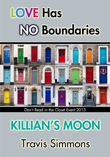# **LOVE Has NO Boundaries**



Don't Read in the Closet Event 2013

## KILIJAN'S MOON **Travis Simmons**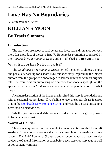## **Love Has No Boundaries**

*An M/M Romance series*

## **KILLIAN'S MOON**

## **By Travis Simmons**

### **Introduction**

The story you are about to read celebrates love, sex and romance between men. It is a product of the *Love Has No Boundaries* promotion sponsored by the *Goodreads M/M Romance Group* and is published as a free gift to you.

## **What Is Love Has No Boundaries?**

The *Goodreads M/M Romance Group* invited members to choose a photo and pen a letter asking for a short M/M romance story inspired by the image; authors from the group were encouraged to select a letter and write an original tale. The result was an outpouring of creativity that shone a spotlight on the special bond between M/M romance writers and the people who love what they do.

A written description of the image that inspired this story is provided along with the original request letter. If you'd like to view the photo, please feel free to join the [Goodreads M/M Romance Group](http://www.goodreads.com/group/show/20149-m-m-romance) and visit the discussion section: *Love Has No Boundaries*.

Whether you are an avid M/M romance reader or new to the genre, you are in for a delicious treat.

#### **Words of Caution**

This story may contain sexually explicit content and is **intended for adult readers.** It may contain content that is disagreeable or distressing to some readers. The *M/M Romance Group* strongly recommends that each reader review the General Information section before each story for story tags as well as for content warnings.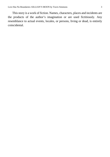This story is a work of fiction. Names, characters, places and incidents are the products of the author's imagination or are used fictitiously. Any resemblance to actual events, locales, or persons, living or dead, is entirely coincidental.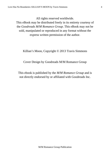All rights reserved worldwide.

This eBook may be distributed freely in its entirety courtesy of the *Goodreads M/M Romance Group*. This eBook may not be sold, manipulated or reproduced in any format without the express written permission of the author.

Killian's Moon, Copyright © 2013 Travis Simmons

Cover Design by Goodreads M/M Romance Group

This ebook is published by the *M/M Romance Group* and is not directly endorsed by or affiliated with Goodreads Inc.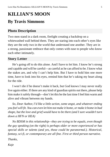## **KILLIAN'S MOON By Travis Simmons**

### **Photo Description**

Two men stand in a dark room, firelight creating a backdrop on a whitewashed wall behind them. They are staring into each other's eyes like they are the only two in the world that understand one another. They are in a strong, passionate embrace that only comes with ease to people who know each other intimately.

#### **Story Letter**

He's going off to do this alone. And I have to let him. I know he's strong and capable and will be careful—as careful as he can afford to be. I know what the stakes are, and why I can't help him. But I have to hold him one more time, have to look into his eyes, remind him that he's taking my heart along for the ride.

I won't die if he doesn't make it back, but God knows I may never really live again either. If there are any kind of guardian spirits out there, please help him make it safely through—don't let this be the last time I feel him warm and alive and vibrant between my hands.

*So, Dear Author, I'd like a little action, some angst, and whatever ending you feel will fit. You can even let him not make it home, or make it home in bad shape, but the love and grief would have to be there (and I sure wouldn't turn down a HFN or HEA)*

*No BDSM in this relationship—they are trying to be equals, even though the guy speaking (on the right) is perhaps older or more experienced or has special skills or talents (and yes, those could be paranormal.). Historical, fantasy, sci-fi, or contemporary are all fine. First or third person narrative. Thanks,*

*Kaje*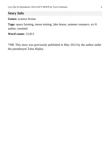## **Story Info**

**Genre:** science fiction

**Tags:** space farming, moon mining, lake house, summer romance, sci-fi author, reunited

**Word count:** 12,813

\*NB: This story was previously published in May 2013 by the author under the pseudonym Talus Ripley.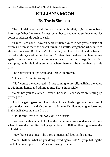## **KILLIAN'S MOON By Travis Simmons**

The holovision stops chirping and I sigh with relief, trying to relax back into sleep. When I wake up I must remember to change the settings to not let correspondences through so early.

"Taven, I see you." I haven't heard Killian's voice in two years, outside of dreams. Dreams where he doesn't turn into a shiftless vagabond whenever we start getting close. But that isn't like Killian; he likes to travel, and he likes to run when things start getting too real. Content that the dream is claiming me again, I relax back into the warm embrace of my bed imagining Killian wrapping me in his loving embrace, where there will be more than sex this time.

The holovision chirps again and I growl in protest.

"Go away," I mutter to myself.

"No," comes the voice again. I start coming to myself, realizing the voice is within my home, and talking to me. That's impossible.

"What has you so excited, Taven?" he asks. "Your sheets are tenting up pretty good."

And I *am* getting excited. The timbre of the voice brings back memories of trysts under the stars and it's almost like I can feel Killian moving inside of me in this half-sleeping state I'm in.

"Oh, for the love of God, *wake up!"* he insists.

I roll over with a moan to look at the incoming correspondence and smile when I see the familiar holographic face of Killian floating above the holovision.

"Hey there, sunshine!" The three-dimensional face smiles at me.

"What! Killian, what are you doing invading my holo?" I yelp, balling the blankets in my lap so he can't see my rising excitement.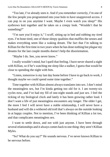"Too late, I've already seen it. And if you remember correctly, I'm one of the few people you programmed into your holo to have unapproved access. I can pop in on you anytime I want. Maybe I even watch you sleep!" His eyebrows knit together and he takes on a creepy look. "Wouldn't that be something?"

"I'm sure you'd enjoy it," I scoff, sitting up in bed and rubbing my tired eyes. I'm bone tired, one of those sleepy qualities that muffles the senses and makes everything seem like a waking dream. The fact that I'm talking to Killian for the first time in two years when he has done nothing but *plague* my dreams for the last couple months doesn't help the disorientation.

"Maybe I do. See, you never know."

I really wouldn't mind, but I quell that feeling. I have never shared a night with Killian, so if he's watching me sleep like a stalker, I guess that would be close to spending the night with him.

"Listen, tomorrow is my last day home before I have to go back to work, I thought maybe we could spend some time together."

Time together with Killian almost always translates into sex. I don't mind the meaningless sex, but I'm kinda getting too old for it. I am twenty-six cycles now, and I've had my fill of one-night stands and just sex. I feel the ticking of my biological clock and lately it has been growing rather loud. I don't want a life of just meaningless encounters any longer. The older I get, the more I feel I will never have a stable relationship, I will never have a husband and will die a withered old troll that's always on the outside looking in at happy couples. Not to mention, I've been thinking of Killian a lot too, and that complicates meaningless sex.

I want to settle down, and not with just anyone. I have been through several relationships and it always comes back to one thing: they aren't Killian Myles.

"So? What do you say?" He sounds nervous. I've never known Killian to be nervous before.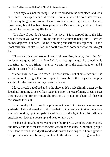I open my eyes, not realizing I had them closed in the first place, and look at his face. The expression is different. Normally, when he holos it's for sex, not for anything major. We are friends, we spend time together, we chat and have beers, but it has been two years since I've seen him, and part of me thought he was out of my life for good.

"It's okay if you don't want to," he says. "I just stopped in to the lake house to see if you were still around and if you wanted to hang out." His voice sounds dejected, but hard, like he is bracing himself for my rejection. That's most certainly not like Killian, and not the voice of someone who wants to get laid.

"No—yeah, I can come over. I need to shower first, though," I tell him. My curiosity is piqued. What can I say? Killian is acting strange, like something is up. After all we are friends, even if we end up in the sack together, and I wouldn't turn a friend down.

"Great! I will see you in a few." The holo shrinks out of existence until it is just a pinpoint of light that bobs up and down above the projector, happily waiting for the next incoming correspondence.

I force myself out of bed and to the shower. It's made slightly easier by the fact that I'm going to see Killian today in person instead of in my dreams. I set the shower timer for ten minutes before the UV-protection chemical phase of the shower kicks in.

I don't really take a long time picking out an outfit. If today is as warm as yesterday, I should go naked, but since that isn't decent, and invites the wrong kind of attention, I put on a pair of khaki shorts and a light blue shirt. I slip my sneakers on, lock the house up and head on my way.

It's been about a hundred years since the first SES vehicles were created, and fifty years since the last of the cars were made obsolete. Since then, people don't tend to tread the old paths and roads, instead sticking to in-home gyms to escape the sun's harmful rays, and take to the skies in their flying vehicles.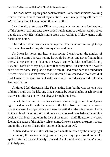The roads have largely gone back to nature. Sometimes it makes walking treacherous, and takes most of my attention. I can't really let myself focus on *where* I'm going if I want to get there unscathed.

I can't really think about Killian's correspondence until my feet lead me off the broken road and onto the wooded trail leading to the lake. Again, since people use their SES vehicles more often than walking, I follow game trails back to his home.

The dirt and stone crunches under my feet. The sun is warm enough today that sweat has soaked my shirt to my chest and back.

As I near his home, my heart starts racing. I can't count the number of times I have come this way hoping he would be home, and never finding him there. I always tell myself I came this way to enjoy the lake he offered for my use, but I can't lie to myself, I know that every time I've come here it was to see if he was home. I'm glad he hadn't been. If I had come here and found that he was home but hadn't contacted me, it would have caused a whole world of hurt I wasn't prepared to deal with, especially considering my developing feelings for him.

At times I feel desperate, like I'm stalking him, but he was the one who told me I could use the lake any time I wanted by accessing his beach. Even if that wasn't the reason my feet always brought me here.

In fact, the first time we met was late one summer night almost eight years ago. I had snuck through the woods to the lake. Not realizing there was a house so close, I stripped down and sank beneath the refreshing waves. I took in the sight of the moon, at that time it was whole—it was before the mining accident that blew a crater in the face of the moon—and I floated on my back, feeling the peace of the night wash over me. Crickets sang on the grassy shore, and in the distance I heard the lonesome hoot of an owl.

Killian had found me like that, my pale skin illuminated by the silvery light of the moon, the waves lapping around me, and my eyes closed. When he spoke it startled me and I nearly drowned. And I might have if he hadn't come in to help me.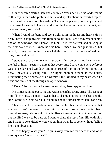Our friendship started then, and continued ever since. He was, and remains to this day, a man who prefers to smile and speaks about introverted topics. The type of person who is like a drug. The kind of person you wish you could be because he seems to have a handle on life. He knows what it is about, and he enjoys every second of it.

When I round the bend and see a light on in his house my heart skips a beat. I have to stop myself from running to his door. I see a movement behind one of the windows, and I know it is him. He is just as fresh and enticing as the first day we met. I knew he was here. I mean, we had just talked, but actually seeing proof of him makes it all the more real. I know it isn't a dream now, I know it is real.

I stand there for a moment and just watch him, remembering his touch and the feel of him. It seems so unreal that every time I have come here before it was to see darkened windows and memories of him in the living room. But now, I'm actually seeing him! The lights bobbing around in the house, illuminating the windows with a warmth I feel kindled in my heart when he turns and smiles at me through an open window.

"Taven," he calls once he sees me standing there, spying on him.

He comes running out to me and wraps me in his strong arms. The scent of him fills my nose, the manly sweat that sticks my clothes to his chest and the smell of the sun in his hair. I take it all in, and it's almost more than I can bear.

This is what I've been dreaming of for the last few months, and now that it's real, I can't believe it. I want him with me. I know now, having been through so many relationships, that Killian is the one I want. Not only the one, but the life I want to be part of. I want to share the rest of my life with him, and I want to be entitled to worry about him when he is gone without feeling like I am obsessing.

"I'm so happy to see you." He pulls away from me for a second and looks into my eyes. "What's wrong?"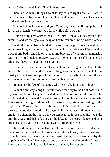There are so many things I want to say to him right now, but I am so overwhelmed with emotions that I can't think of the words. Instead I shake my head and hug him tight once more.

"My gosh, how I have missed you. Come on, I was just firing up the grill for an early lunch. We can swim for a while before we eat."

"I didn't bring any swim trunks," I tell him. Mentally I kick myself; it's summer, and we are by a lake, why on Earth wouldn't I bring swim clothes?

"Well, if I remember right, that isn't an issue for you," he says with a sly smile, tweaking a nipple through the wet shirt. It sends electricity coursing through my body, and I know that all my bravado of wanting a relationship with him would melt into crazy sex at a moment's notice if he makes an advance. I have no power to resist Killian.

He takes my hand in his, and I see the familiar living tattoo bloom to the surface, black and textured like scales along his skin. It reacts to touch. His is mostly cosmetic—some people get tattoos of stone which become like an exoskeleton when they come in contact with anything.

I remember the feel of that tattoo when we make love, and I shiver.

We make our way along the white stone walkway to the front door. I slip my shoes off before I step into the darker, cool interior of his lake house. The inside is all done in wood. We enter through the kitchen and ahead of us is the living room, the right side of which boasts a large staircase leading to the upper story. Directly ahead of us through the living room is a patio door, with a treated wood deck and the lake beyond. The windows and doors are open and it is so silent in the house that you can hear the insects and birds outside, and the occasional fish splashing in the lake. It's a sleepy silence, and as it stretches I can even hear the sigh of wind through the trees.

The wind brings in the smell of the lake and the sun-warmed forest around the house. I could live here. Just standing inside the house, I feel all the tension of the last few days leave me in a cool rush. Being here, surrounded by the trappings of Killian, I feel at peace and at home, so much more than I ever do in my own house. This place is like a haven away from everyday life.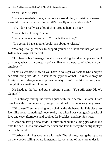"You like?" he asks.

"I always love being here, your house is so calming, so quiet. It is insane to even think there is such a thing as SES craft flying around outside."

"Eh, I don't really see a lot of ships around here, do you?"

"Some, but not many." I admit.

"So what have you been up to? How is the writing?"

"It's going. I have another book I am about to release."

"Making enough money to support yourself without another job yet?" Killian leans against the wall.

"Just barely, but I manage. I really hate working for other people, so I will trim away what isn't necessary so I can live with the peace of being my own employer."

"That's awesome. Now all you have to do is get yourself an SES and you can start living like I do!" He sounds really proud of that. He knows I envy his lifestyle, but I always make up reasons why I can't live like he does, even though it is something I long for.

He heads to the bar and starts mixing a drink. "You still drink Pluto's Gambit?"

He is already mixing the silver liquor with tonic before I answer. I hate how loose the drink makes my tongue, but it tastes so amazing going down.

"Of course." I smile, easing into a chair at the kitchen table. This place just feels like home, something I never really had when I was younger. It speaks of love and easy afternoons and cookies for breakfast and lazy Solstices.

"Come on, let's go sit outside." I follow him out the sliding glass door and onto the deck. I look out across the water and love the way the sunlight plays across the ripples.

"I've been thinking about you a lot lately," he tells me, resting the icy glass on the wooden railing where it instantly leaves a ring of moisture under it.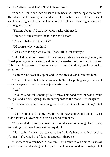"Yeah?" I smile and inch closer to him, because I like being close to him. He rubs a hand down my arm and where he touches I can feel electricity. I want those fingers all over me. I want to feel his body pressed against me and his tongue slipping…

"Tell me about it," I say, my voice husky with need.

"Strange dreams really," he tells me and I scoff.

"You still believe in that shit?"

"Of course, why wouldn't I?"

"Because of the age we live in? That stuff is just fantasy."

"I think dreams hold power." He leans in and whispers sensually to me, his breath playing along my neck, and his words are deep and resonant in my ear. "The brain is a powerful muscle that can do amazing things, make us feel… sensations."

A shiver runs down my spine and I close my eyes and lean into him.

"You don't think that feeling is magical?" he asks, pulling away from me. I open my eyes and realize he was just teasing me.

" $\mathbf{A}$ ss."

He laughs and walks to the grill. He moves his hand over the wood inside the grill and a flame springs to life in response to the motion sensor igniter.

"I believe we have come a long way in explaining a lot of things," I tell him.

"But the brain is still a mystery to us," he says and we fall silent. "But I didn't invite you over here to discuss our differences."

"You wanted me to come over here and discuss something else?" I say, and sitting in a chair I take a sip of my drink.

"Not really. I mean, we can talk, but I didn't have anything specific planned." The way he is fidgeting suggests otherwise.

"So where have you been?" I ask him. "It's been two years since I last saw you." I think about adding the last part—that I have missed him terribly—but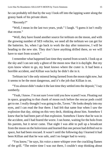he can probably tell that by the way I look off into the lapping water along the grassy bank of his private shore.

"Recently?"

"Well, I mean in the last two years, yeah." I laugh. "I guess it isn't really that recent."

"Well, they have found another source for terbium on the moon, and with the growing number of SES vehicles, we need all the terbium we can get for the batteries. So, when I go back to work the day after tomorrow, I will be heading to the new site. They don't have anything drilled there, so we will have to start from scratch."

I remember what happened last time they started from scratch. I look up at the sky and I can see only a ghost of the moon now that it is daylight. But my eyes know where to go, my heart knows where the crater is. It had been a horrible accident, and Killian was lucky he didn't die in it.

Terbium isn't the only mineral being farmed from the moon right now, but it seems to be the most dangerous, and it's the job that Killian is on.

"You almost didn't make it the last time they settled into the deposit," I say somberly.

"Yeah, I know. I'm not sure I ever told you how scared I was. Floating out in space, grappling to that chunk of moon rock before the rescue pods could get to me. I really thought I was going to die, Taven." He looks deeply into my eyes, and I can read the fear there. I had felt that same fear when I saw the explosion that day, sitting on this very deck, thinking about him. Somehow I knew that he had been part of that explosion. Somehow I knew that he was in the accident, and I had feared the worst. I ran home, waiting for the holo from his parents, but it never came. That night I was able to pull up a broadcast from the moon on the holovision and learned that one person had drifted out to space, but had been rescued. It wasn't until the following day I learned it had been Killian and that he was safe, and I no longer had to worry.

"You know," he says, his voice a mere whisper over the crackling flames of the grill. "The entire time I was out there, I couldn't stop thinking about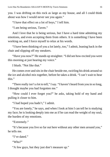you. I was drifting on this rock as large as my house, and all I could think about was how I would never see you again."

"I have that effect on a lot of boys," I tell him.

"I am being serious, Taven."

And I love that he is being serious, but I have a hard time admitting my emotions, and even accepting them from others. It is something I have been working on, and I force myself to relax at his words.

"I have been thinking of you a lot lately, too," I admit, leaning back in the chair and slipping off my sneakers.

"Have you now?" He stands up straighter. "I did see how excited you were this morning at just hearing my voice."

I blush. "Not like that."

He comes over and sits in the chair beside me, swirling his drink around so the ice and alcohol mix together, before he takes a drink. "I can't wait to hear this."

"There really isn't a lot to tell," I say. "I haven't heard from you in so long, I thought maybe you had forgotten me."

"How could I ever forget you?" he asks, taking hold of my hand and pulling it closer to him.

"I had hoped you hadn't," I admit.

"You are lonely," he says, and when I look at him I can tell he is studying my face; he is looking deeply into me as if he can read the weight of my soul, the burden of my emotions.

"Extremely."

"It's because you live so far out here without any other men around you," he tells me.

```
"I've dated."
```
"Who?"

"A few guys, but they just don't measure up."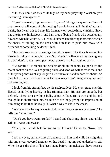"Oh, they don't, do they?" He tugs on my hand playfully. "What are you measuring them against?"

"I just have really high standards, I guess." I dodge the question; I'm still not sure what will come of this meeting. I would love to tell him that I want to be his, that I want this to be my life from now on, beside him, *with* him. I have had the time to think about it, and I am tired of being friends who occasionally have sex when he wants it. But I would rather share fleeting moments between the sheets or talking on the deck with him than to push him away with demands of something he doesn't feel.

This conversation is so strange though. It seems like there is something else he is trying to tell me, but he isn't *saying* it. It's like he wants me to guess it, and I don't have those super mental powers like he imagines exists.

"Be careful." He stands and sets his drink on the table. He peels off the sweat-soaked shirt. "We are getting older, and soon we will be trolls that none of the young ones want any longer." He winks at me and undoes his shorts. As they fall to the hot deck and he kicks them away I can't imagine anyone *ever* not wanting him.

I look from his strong feet, up his sculpted legs. My eyes graze over his flaccid penis lying heavily in his trimmed hair. His abs are smooth, but defined. There isn't anything bulky about Killian. He is trim and fit, and though he is shorter than me, his muscles are long, giving the impression of him being taller than he really is. What a way to cut to the chase.

"We have time for a quick swim before the burgers are ready to go on," he tells me. "Your turn."

"Don't you have swim trunks?" I stand and shuck my shorts, and unlike Killian I wear underwear.

"Yeah, but I would hate for you to feel left out." He winks. "Now, let's see."

I roll my eyes, pull my shirt off and toss it at him, and while he is fighting with my sweat covered garment on his head, I tug my red undershorts off. When he gets the shirt off his face I stand before him naked as I have been so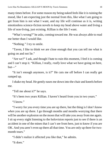many times before. For some reason my being naked feels like it is ruining the mood, like I am expecting just the normal from this, like what I am going to get from him is not what I want, and my life will continue as it is, writing emotionless science-fiction novels to keep my head above water and living a life of non-living, just existing. Killian is the life I want.

"What's wrong?" he asks, coming toward me. He was always able to read me better than I would like.

"Nothing." I try to smile.

"Taven, I like to think we are close enough that you can tell me what is going on and not lie."

"Are we?" I ask, and though I hate to ruin this moment, I feel it is coming and I can't stop it. "Killian, I really, *really* love what we have going on here,  $but$ —"

"It isn't enough anymore, is it?" He cuts me off before I can really get ramped up.

I shake my head. He gently eases me down into the chair and kneels before me.

"Tell me about it?" he says.

"It's been two years Killian. I haven't heard from you in two years."

"I know"

"I worry for you every time you are up there, but the thing is I don't know *when* you are up there. I go through months and months worrying that there will be another explosion on the moon that will take you away from me again. I sit up every night listening to the holovision reports just to see if there is an accident in one of the mines that I can't see from here, just to know if you are OK. And you aren't even up there all that time. You are only up there for twomonth tours."

"I didn't realize it affected you like that," he admits.

"It does."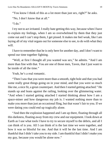"You know I think of this as a lot more than just sex, right?" he asks.

"No, I don't know that at all."

"I do."

I try not to act irritated. I really hate getting this way, because when I have to explain my feelings, when I am so overwhelmed by them that they just come out and I can't stop them, I get pissed. It makes me feel weak, like I am laying all of my vital organs out for someone else to see, to do with what they will.

I have to remember that he is only here for another day, and I don't want to spend our time together fighting.

"Well, at first I thought all you wanted was sex," he admits. "And I am more than fine with that. You are one of those men, Taven, that I just want to be inside of all the time."

Yeah, he's a real romantic.

"Then I saw that you were more than a smooth, tight hole and that you had some really great things going on in your mind, and that you were so much like me, a nice fit, a great counterpart. And then I started getting attached." He stands up and leans against the railing, looking over the glimmering water. "And when I started getting attached I started thinking about how I am a space-miner and how dangerous my job is. I wanted nothing more than to make you more than just an occasional fling, but that wasn't fair to you. If we were dating you could end up tragically alone.

"And then the explosion happened and I am up there, floating through all this darkness, floating away from my crew and our equipment. I look down at Earth as I use what tools I have to try to secure myself to the debris, and all I can think of is you. All I can think of is the last time we were together, and how it was so blissful for me. And that it will be the last time. And I am thankful that I didn't take you to my side. I am thankful that I didn't make you my guy, because you would be alone now."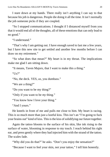I stare down at my hands. There really isn't anything I can say to that because his job is dangerous. People die doing it all the time. It isn't normally the job someone picks if they are coupled.

"So I stopped communications. I thought if I distanced myself from you that it would end all of the thoughts, all of these emotions that can only lead to no good."

"I understand"

"That's why I am getting out. I have enough saved to last me a few years, but I have this new site to get settled and another few months before I can draw on my retirement."

"So what does that mean?" My heart is in my throat. The implications make me glad I am sitting down.

"It means, Taven Majors, that I want to make this a thing."

" $\left[\frac{1}{2}\right]$ "

"No, the deck. YES, *us*, you dumbass."

"We are a thing?"

"Do you want to be my thing?"

"Only if you want to be *my* thing."

"You know how I love your thing."

"And I yours."

He kneels in front of me and pulls me close to him. My heart is racing. This is so much more than just a lustful kiss. This isn't an "I'm going to fuck your brains out" kind of kiss. This is the kiss of solidifying our future together.

Again the tattoo blooms to the surface of his skin, like ink rising to the surface of water, blooming in response to my touch. I reach behind his right ear, and press gently where they had injected him with the strand of the tattoo. The scales fade.

"Why did you do that?" he asks. "Don't you enjoy the sensation?"

"Because I want to feel your skin, not your tattoo," I tell him honestly.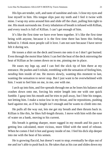His lips are tender, soft, and taste of sunshine and rain. I close my eyes and lose myself in him. His tongue slips past my teeth and I feel it twine with mine. I wrap my arms around him and slide off the chair, pulling him tight to me. His musk surrounds me. Every inhalation of breath is infused with Killian, and every touch is full of Killian. I can't get enough of him.

It's like the first time we have ever been together. It's like the first time being with anyone, because it is the first time there has been this feeling behind it. I think most people call it love. I am not sure because I have never felt it during sex.

He tosses a shirt on the deck and lowers me onto it so I don't get burned. Even through the moist blue fabric I can feel the heat of the deck mirroring the heat of Killian as he comes down on to me, pinning me in place.

He eases my legs up, and I can feel the slick tip of him there at my entrance. He pushes and I exhale, trembling with the sensation of feeling him, *needing* him inside of me. He moves slowly, wanting this moment to last, wanting the sensation to never stop. But I just want to be overwhelmed with him. I want to feel him on me, in me, *one* with me.

I arch up into him, and fire spreads through me as he loses his balance and crashes down onto me, forcing his entire length into me with one quick fumble. I gasp into his mouth and he tries to pull away, but I bite his tongue, not letting him. I make a noise low in my throat, and he repositions, pushing hard against me, as if his length isn't enough and he wants to climb into me.

He pulls all the way out, lets me get my breath and then thrusts back in. Killian is like this, he likes full-length thrusts. I move with him with the ease of water on a bank, moving to his current.

His breath is getting sharper, more ragged in my mouth and his pace is getting less calculated, more vicious, more filled with the need of release. When he comes I feel it hot and gooey inside of me. I feel his dick slip deeper into me with the heat of his semen.

He is growing flaccid, but doesn't want to stop; eventually he slips out of me and isn't able to push back in. He takes that as his cue and slides down my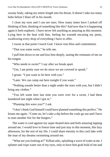sweaty body, taking my entire length into his throat. It doesn't take too many bobs before I blast off in his mouth.

I close my eyes and I can see stars. How many times have I jerked off thinking of him, thinking of something like this? And now that it is happening again it feels euphoric. I have never felt anything as amazing as this moment. Lying here in the heat with him, feeling his warmth encasing my penis, swallowing every drop of everything I have to offer.

I swear at that point I touch God. I know true bliss and contentment.

"That was some swim," he tells me.

I pull him down to me and kiss him deeply, tasting the remnants of me on his tongue.

"Who needs to swim?" I say after we break apart.

"Um, I am pretty sure we do since we are covered in spunk."

I groan. "I just want to lie here with you."

"Later. We can camp out here tonight if you want."

"Nothing sounds better than a night under the stars with you, but I didn't bring any clothes."

"You left some here last time you were over for a swim, I had them laundered last night when I got in."

"Planning this were you?" I ask.

"I don't think God himself could have planned something this perfect." He kisses me again. "Come on, let's take a dip before the coals go out and I have to start another fire for the burgers."

The water is cool against my super-heated skin and feels amazing lapping around me. I would love to freeze time and just stay in this moment, this lazy afternoon, for the rest of my life. I could share eternity in this cool lake with the man of my dreams swimming around me.

"What are you looking at?" Killian asks, splashing a wave of water at me. I splutter and wipe water out of my eyes, only to have him grab hold of me and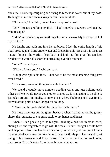dunk me. I come up coughing and trying to blow lake water out of my nose. He laughs at me and swims away before I can retaliate.

"Not much," I tell him, once I have composed myself.

"Oh?" he says, grabbing my dick. "That's not what you were saying a few minutes ago."

"I don't remember saying anything a few minutes ago. My body was out of my control."

He laughs and pulls me into his embrace. I feel the entire length of his body press against mine under water and I relax into his kiss as if it is the most natural thing in the world. I lean back and look into his eyes, his tan face beaded with water, his short hair streaking over his forehead.

"What?" he whispers.

"Killian, I love you," I whisper back.

A huge grin splits his face. "That has to be the most amazing thing I've ever heard."

"It is a truly amazing thing to be able to admit."

We spend a couple more minutes treading water and just holding each other as if we would never get another chance to. It is amazing to be able to just relax around him finally, to know this is where I belong, and I have finally arrived at the point I have longed for so long.

"Come on, the coals should be ready for the burgers."

He must have just cut the grass, because when I climb up on the grassy shore, the remnants of cut grass stick to my hands and knees.

When Killian goes to get the burgers I take up a position in his kitchen, slicing fruit and vegetables to go with the meal. I never thought I could have such happiness from such a domestic chore, but honestly at this point I think no amount of success or notoriety could make me this happy. I am ecstatic just being in his presence, and I don't care if I am a writer that no one knows, because in Killian's eyes, I am the only person he wants.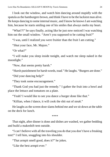I look out the window, and watch him dancing around stupidly with the spatula as the hamburgers brown, and think I have to be the luckiest man alive. He keeps dancing to some internal music, and I know he knows I am watching him, because he starts smiling one of his smiles that always melts my heart.

"What!?!" he says finally, acting like he just now noticed I was watching him out the small window. "Aren't you supposed to be cutting fruit?"

"I was, until I realized you were fruitier than the fruit I am cutting."

"Shut your face, Mr. Majors."

"Or what?"

"I will make you sleep inside tonight, and watch me sleep naked in the moonlight."

"Now, that seems pretty harsh."

"Harsh punishment for harsh words, toad." He laughs. "Burgers are done."

"Did your dancing help?"

"They took some encouragement."

"Thank God you had just the remedy." I gather the fruit into a bowl and place the lettuce and tomatoes on a plate.

"Yeah? I would like to see you dance a burger done like that."

"Killian, when *I* dance, it will cook the shit out of *steak*."

He laughs as the screen door slams behind me and we sit down at the table on the deck for lunch.

\*\*\*\*

That night, after dinner is done and dishes are washed, we gather bedding and build a makeshift tent outside.

"I can't believe with all the traveling you do that you don't have a freaking tent!" I tell him, snuggling into his shoulder.

"That armpit smell good, does it?" he jokes.

"Like the best armpit ever."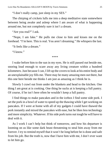"I don't really camp, just sleep in my SES."

The chirping of crickets lulls me into a deep meditative state somewhere between being awake and asleep where I am aware of what is happening around me, but not completely sure it isn't a dream.

"Are you real?" I ask.

"Nope, I am fake." He pulls me close to him and kisses me on the forehead. "I'm here. This is real. You aren't dreaming." He whispers the last.

"It feels like a dream"

"I know"

\*\*\*\*

I wake before him to the sun in my eyes. He is still passed out beside me, snoring loud enough to scare away any living creature within a hundred kilometers. Just because I can, I lift up the covers to look at his entire body and an unexplainable joy fills me. There may be many amazing men out there, but this one here beside me thinks I am just as amazing as I think he is.

Slowly I crawl out from under the blankets and head to the kitchen. One thing I am great at is cooking. One thing he sucks at is keeping a full pantry. Of course, if he isn't here often he wouldn't keep a full pantry.

I find things to make pancakes and in the icebox I find some side pork. I set the pork in a bowl of water to speed up the thawing while I get working on pancakes. If I were at home with all of my gadgets I could have thawed the pork instantly and mixed the pancakes with ease, but he likes less technology and more simplicity. Whatever. If his side pork turns out tough he will have to deal with it.

As I work I can't help but think of tomorrow, and how his departure is looming on us like some dark beast threatening to steal him away from me forever. I try to remind myself that it won't be long before he is done and safe from his job. But the truth is, now that I have him with me, I don't ever want to let him go.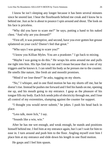I know he isn't sleeping any longer because it has been several minutes since he snored last. I hear the floorboards behind me creak and I know he is behind me. Just as he is about to pounce I spin around and shout. The look on his face is priceless.

"Why did you have to scare me?" he says, putting a hand to his naked chest. "And why are you dressed?"

"First off, it was preemptive, and second, have you ever gotten hot grease splattered on your cock? Doesn't feel that great."

"Who says I was going to scare you?"

"I know you Killian Myles. You are a prankster." I go back to mixing.

"Maybe I was going to do this." He wraps his arms around me and pulls me tight into him. His lips find my ear and I moan because that is one of my triggers and he knows it. I can smell his body as he presses me to the counter. He smells like nature, like fresh air and moonlit promises.

"Mind if we lose these?" he asks, tugging on my shorts.

"No," I whisper, and in one fluid motion he has my shorts off me, but he doesn't rise. Instead he pushes me forward and I feel his hands on me, opening me up, and his mouth going to my entrance. I gasp as the pleasure of his tongue fills my body. Each lick sends jolts of electricity through me, and I lose all control of my extremities, slumping against the counter for support.

"I thought you would never submit," he jokes. I push his head back in place.

"Less talk, more lick," I say.

"Sounds like a win, win."

After he has me wet enough, and weak enough, he stands and positions himself behind me. I feel him at my entrance again, but I can't wait for him to ease in. I turn around and push him to the floor. Angling myself over him I place him at my entrance and slide down his length in one fluid motion.

He gasps and I feel him spasm.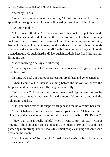"Already?" I ask.

"What can I say? You taste amazing." I feel the heat of his orgasm spreading through me, but I haven't finished yet, so I keep riding him.

"Up for round two?"

"He seems to think so." Killian motions to his cock. He puts his hands behind his head and I ride him like there's no tomorrow. His hands find my cock and start to stroke me. I lean back and keep moving around on him, feeling his length plunging into my depths, a shock of pain and pleasure floods my body at the apex of his thrust until finally I am coming, a huge arc into his opened mouth. He bucks hard and I feel such incredible heat flood through me, filling me up.

"Good morning," he says, swallowing.

"Every day can start like that as far as I am concerned," I gasp, flopping onto his chest.

In time, we peel our bodies apart, eat our breakfast, and get cleaned up.

When I come out Killian is standing before the holovision above the fireplace, and the channels are flipping automatically.

"What's that?" I ask as one three-dimensional figure vanishes to be replaced by a news broadcaster from the moon. He turns to me and the hologram vanishes.

"Oh, you mean this?" He snaps his fingers and the holo comes back on.

"I can't believe you had one of those chips installed!" I laugh at him. "Aren't you the one always concerned with the archaic belief of Big Brother?"

"Hey, that chip is really helpful when I want to turn on stuff without moving." The holovision comes on again, the image blurry at first and then gathering more strength until it looks like small people carrying out some soap opera on the mantel.

"Isn't it awesome?" he triumphs. "I feel like a freaking wizard from those books you write!"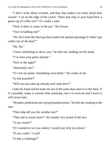"I don't write about wizards, and that chip makes you more droid than wizard." I sit on the edge of the couch. "Does that chip in your head brew a good cup of coffee too?" It's really a joke.

"Only if there is water in the pot." He frowns.

"You're kidding me?"

"No. Do I look like the type that would risk mental espionage if I didn't get coffee out of the deal?"

"Ha Ha"

"I have something to show you," he tells me, holding out his hand.

"I've seen your penis already."

"Sick of the sight?"

"Absolutely not!"

"It's not my penis. Something even better." He winks at me.

"Is that possible?"

"Will you just shut up already and come here?"

I take his hand and he leads me out of the patio door and on to the deck. If it's possible, today is warmer than yesterday, but it is overcast and I know it will storm later.

"Weather predictions are saying thunderstorms," he tells me, looking to the east.

"That chip tell you the weather too?"

"That and so much more!" He sounds very proud of the fact.

"X-ray vision?"

"If I wanted to see you naked, I would just strip you down."

"If you could," I scoff.

"Is that a challenge?"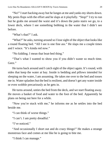"No!" I start backing away but he lunges at me and yanks my shorts down. My penis flops with the effort and he slaps at it playfully. "Stop!" I try to run but he grabs me around the waist and it's down the patio stairs we go, to a lower deck, where I see something bobbing in the water that I didn't see before.

"What's that?" I ask.

"What?" he asks, turning around so I lose sight of the object that looks like a round floating bed. "All I see is one fine ass." He slaps me a couple times and I wince. "It's kinda red now."

"No kidding. I mean that boat-bed thing."

"That's what I wanted to show you if you didn't waste so much time. Geez."

He turns back around and I catch sight of the object again. It's round, with sides that keep the water at bay. Inside is bedding and pillows intended for sleeping on the water, I am assuming. He takes me over to the bed and tosses me in. Water splashes but the bed is resilient, and doesn't get any water inside or even wobble precariously as he gets in.

He turns around, unties the bed from the deck, and we start floating away. He moves a basket of food and water to the foot of the bed. Apparently he plans on being out here for a while.

"Now you're stuck with me," he informs me as he settles into the bed beside me.

"I can think of worse things."

"I can't. I am pretty dreadful."

"I've noticed."

"And occasionally I short out and do crazy things!" He makes a strange monstrous face and comes at me like he is going to bite me.

"I think I can manage."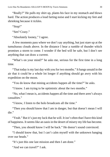"Really?" He pulls my shirt up, plants his face in my stomach and blows hard. The action produces a loud farting noise and I start kicking my feet and shrieking because it tickles.

"Stop!"

"See? Crazy."

"Absolutely looney," I agree.

A few moments pass where we don't say anything, but just stare up at the tumultuous clouds above. In the distance I hear a rumble of thunder which promises a storm to come. I wonder if the bed will be safe, but I don't see anything that can draw a current.

"What's on your mind?" he asks me, serious for the first time in a long time.

"That today is my last day with you for two months." It hangs unsaid in the air that it could be a whole lot longer if anything should go awry with his expedition on the moon.

"You do know that mining accidents happen all the time?" he asks.

"I know. I am trying to be optimistic about the two months."

"No, what I mean is, accidents happen all the time and there aren't always casualties."

"I know, I listen to the holo broadcasts all the time."

"Then you should know that I am in danger, but that doesn't mean I will die."

"Yeah." But it's just my luck that he will. It isn't often that I have this kind of happiness. It seems like an oasis in the desert of misery my life has become.

"Then, you should know I will be back." He doesn't sound convinced.

"I should know that, but I can't calm myself with the unknown hanging over our heads."

"It's just this one last mission and then I am done."

"And we can travel?" I ask.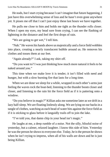He nods, but I start crying because I can't imagine that future happening, I just have this overwhelming sense of loss and he hasn't even gone anywhere yet. It pisses me off that I can't just enjoy these last hours we have together.

He pulls me close to him and holds me tight as the thunder rolls closer. When I open my eyes, my head sore from crying, I can see the flashing of lightning in the distance and feel the first drops of rain.

"We are going to get wet," I tell him.

"Nah." He waves his hands above us majestically and a force field wobbles into place, creating a nearly translucent bubble around us. He removes his clothes and tosses them at our feet.

"Again already?" I ask, taking my shirt off.

"Do you want to? I was just thinking how much more natural it feels to be naked around you."

This time when we make love it is tender; it isn't filled with need and hunger, but with a slow burning fire that lasts for a long time.

When we are done we sleep for a while, wrapped in each other's arms just feeling the waves rock the boat-bed, listening to the thunder boom closer and closer, and listening to the rain hit the force field as if it is pattering onto a window.

"Do you believe in magic?" Killian asks me sometime later as we drift in a lazy half-sleep. We are floating listlessly along. We are lying on our backs in a tangle of clothes, watching as each bead of water hits against the force field as if it is sticking to glass before it languidly trails off to join the lake.

"I've told you, that damn chip in your head isn't magic."

He laughs at me, a deep rumble of a noise. Not the silly, blissful noise of yesterday, but a calmer, relaxed laughter. I know this side of him. Yesterday he was the person he shows to everyone else. Today, he is the person he shows when he isn't trying to impress, when all of his walls are down and he is just being Killian.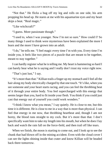"Not that." He flicks a bug off my leg and rolls on one side, his arm propping his head up. He stares at me with his aquamarine eyes and my heart skips a beat. "Real magic."

"Like witchcraft?"

"I guess. More passionate though."

"I used to, when I was younger. Now I'm not so sure." How could I? So many things I used to think were mysterious have been explained the more I learn and the more I have grown into an adult.

"I do," he tells me. "I feel magic every time I'm with you. Every time I'm inside you, it feels like two pieces of a puzzle that are meant to be together, meant to stay together."

I can hardly register what he is telling me. My heart is hammering so hard I can barely hear what he is saying and I really don't trust my voice right now.

"That's just lust," I say.

"It's more than that." Killian trails a finger up my stomach and I feel all the hair along my body electrically charged by that one touch. "It's like, when you see someone and your heart starts racing, and you can feel the throbbing beat of it through your entire body. You feel supercharged with this energy that seems larger than you, hard to fit inside your flesh. You think if you could just cast that energy out of yourself you could work wonders."

"I think I know what you mean," I say quietly. He is close to me, but this time it is different. He is close to me in a way that is more than physical. I can feel that energy in me now, that throbbing heartbeat and, though I am not horny, the blood runs straight to my cock. But it's more than that. I don't specifically want him to take my length into his mouth, but when he does I lay back and watch the rain fall on the force-field, and then trail off like tears.

When we finish, the moon is starting to come out, and I look up to see the chunk that had blown off in the mining accident. Even with the cloud cover I can see the lights shining inside that crater and know Killian will be headed back there tomorrow.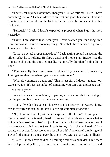"There isn't anyone I want more than you," Killian tells me. "Here, I have something for you." He leans down to our feet and grabs his shorts. There is a minute where he fumbles in the folds of fabric before he comes back with a necklace.

"Seriously?" I ask. I hadn't expected a proposal when I got the holo yesterday.

"Taven, I am serious that I want you. I have wanted you for a long time now, but was so unsure of so many things. Now that I have decided to get out, I want you to be mine."

"Is that an actual proposal necklace?" I ask, sitting up and inspecting the silver locket he is holding. He flips a catch and it opens up. Inside I see the miniature chip and the attached needle. "You really did plan for this didn't you?"

"This is a really cheap one. I wasn't out much if you said no. If you accept, I will get another one when I get home, a better one."

"What do you mean a better one? That is just silly. It doesn't matter how expensive it is. It's just a symbol of something you can't put a price tag on."

"Is that a yes?"

I want to answer immediately, I open my mouth a couple times trying to get the *yes* out, but things are just moving so fast.

"Look, if we decide against it later we can just destroy it in water. I know this is awfully sudden, but it isn't like we are complete strangers."

"No, I know that. I just never expected all of this!" I am just so overwhelmed that it is really hard for me to find words to express what is going on inside of me. It isn't all just love, there is a lot of fear there too. Am I ready to accept this if he dies? Am I ready for my life to change like this? I am twenty-six cycles. Is that too young for all of this? And where I am living will I ever find someone I am so over the top in love with as I am with Killian?

"Listen, I know I have said not all mining accidents end in death, but there is a real possibility there, Taven. I want to make sure you are cared for if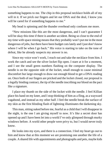something happens to me. The chip in this proposal necklace holds all of my will in it. If we prick our fingers and let our DNA seal the deal, I know you will be cared for if something happens to me."

My head is spinning and the thunder overhead only confuses me more.

"New missions like this are the most dangerous, and I can't guarantee I will be okay this time if there is another accident. Being so close to the end of my time with space mining means that they probably won't put me in the most dangerous of jobs, but there have been budget cuts lately and I just don't know where I will be when I go back." His voice is starting to take on the tone of defeat, like he already suspects my answer is no.

Since my voice won't work, I reach out and take the necklace from him. I work the catch and see the silver locket flip open. I stare at it for a moment, and I see the small green numbers flashing on the computer display. The needle is on the opposite side of the locket, small enough to cause minimal discomfort but large enough to draw out enough blood to get a DNA reading on. Once both of our fingers are pricked and the locket closed, our proposal is a legally binding contract, the tip of the needle inscribing our blood on the pact like a signature.

I place my thumb on the side of the locket with the needle. I feel Killian place his hand on my knee, and I stop thinking of him as a fling, as a wayward vagabond, and instead as my other half. I feel the needle break the surface of my skin as the first blinding flash of lightning illuminates the darkening sky.

This man, sitting naked before me, fearful as a child that I will disappear in the night, is the one I am giving myself to now. It's like a secret door has opened up and I have been let into a world I've only glimpsed through murky windows before. A world other people were privy to, but I would never truly know.

He looks into my eyes, and there is a connection. I feel my heart go out to him and know that at this moment we are promising one another the life of a couple. A shared life with appointments and photographs and pets, maybe kids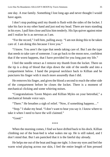one day. A true family. Something I lost long ago and never thought I would have again.

I don't stop pushing until my thumb is flush with the sides of the locket. I take his face in my other hand and just nod my head. There are tears standing in his eyes. I pull him close and kiss him tenderly. His lips quiver against mine and I realize he is as nervous as I am.

"For the record," I tell him, pulling away. "I am not doing this to be taken care of. I am doing this because I love you."

"I know. You aren't the type that needs taking care of. But I am the type that needs to take care of someone. I can go back to the moon now, confident that if the worst happens, that I have provided for you long past my life."

I feel the needle retract as I remove my thumb from the locket. There on the tip is a drop of blood that slips down the side of the needle and into a compartment below. I hand the proposal necklace back to Killian and he punctures his finger with it much more assuredly than I did.

He removes his finger, and gives the blood a second to reach the other side of the compartment before he closes the locket. There is a moment of mechanical clicking and some whirring noises.

"Congratulations Taven Majors and Killian Myles on your betrothal," a mechanical female voice says.

"There." He breathes a sigh of relief. "Now, if something happens…"

"Stop." I shake my head. "I don't want to hear you say it. I know where to take it when I need to have the will claimed."

"Good."

\*\*\*\*

When the morning comes, I find we have drifted back to his dock. Killian climbing out of the boat-bed is what wakes me up. He is still naked, and I don't mind that. But I am panicked that it is the fateful day already.

He helps me out of the boat and hugs me tight. I close my eyes and feel the warm wind playing across our skin, I feel the entire length of him pressed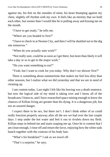against me, his feet on the outsides of mine, his heart thumping against my chest, slightly off rhythm with my own. It feels like an eternity that we hold each other, but sooner than I would like he is pulling away and kissing me on the mouth.

"I have to get ready," he tells me.

"Where are you headed to first?"

"I have to check in at Neoma City, and then I will be shuttled out to the dig site tomorrow."

"When do you actually start work?"

"Not really sure, could be as soon as I get there, but more than likely it will take a day or so to get to the major work."

"Do you want something to eat?"

"Yeah, but I want to cook for you today. Why don't we shower first?"

There is something about summertime that makes me feel less dirty than other seasons, but I realize what we did yesterday and that we are in need of cleaning up.

I am content today. Last night I felt like his leaving was a death sentence, but now the logical side of my mind is taking over and I know all of the broadcasts I listen to, and I have researched space mining enough to know the chances of Killian living are greater than his dying. It is a dangerous job, but not an assured danger.

I expect there to be sex, but there isn't. I don't think either of us could really function properly anyway after all the sex we had over the last couple days. I step under the hot water and feel it run in rivulets down my flesh. Killian steps in behind me and starts soaping me up. Once he is content that I am clean enough, I rinse off and return the favor, enjoying how the white suds bunch together with the contrast of his body hair.

"What's for breakfast?" I ask as we towel off.

"That's a surprise," he says.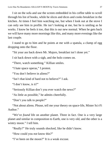I sit on the sofa and use the screen embedded in his coffee table to scroll through his list of books, while he slices and dices and cooks breakfast in the kitchen. At times I feel him watching me, but when I look out at the stove I can only see him in profile. He isn't looking at me, but he is smiling as he works. I know he feels it too, that this is our new normal. When he gets back we will have many more mornings like this, and many more evenings like the last couple.

I stand to go to him and he points at me with a spatula, a clump of egg dropping onto the floor.

"Sit your ass back down Mr. Majors, breakfast isn't done yet."

I sit back down with a sigh, and the holo comes on.

"There, watch something." Killian smiles.

"I hate space operas," I protest.

"You don't believe in aliens?"

"Isn't that kind of hard not to believe?" I ask.

"I don't know, is it?"

"Seriously Killian don't you ever watch the news?"

"As little as possible," he admits cheerfully.

"Don't you talk to people?"

"Not about aliens. Please, tell me your theory on space-life, Mister Sci-Fi Author."

"We've *found* life on another planet. Three in fact. One is a very large planet and similar in composition to Earth, one is very old, and the other is a wintry moon." I tell him.

"Really?" He truly sounds shocked, like he didn't know.

"How could you *not* know this?"

"I've been on the moon?" It is a weak excuse.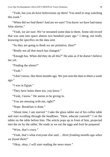Love Has No Boundaries: KILLIAN'S MOON by Travis Simmons 38

"Yeah, but you *do* have holovisions up there! You need to stop watching this trash."

"When did we find them? And are we sure? You know we have had many false alarms."

"Yeah, we are sure. We've streamed some data to them. Some old record that was sent into space almost two hundred years ago." I shrug, not really knowing the specifics on the data sent.

"So they are going to think we are primitive, then?"

"Really not all that much has changed."

"Enough has. When did they do all this?" He asks as if he doesn't believe me yet.

"Finding the aliens?"

"Yeah"

"I don't know, like three months ago. We just sent the data to them a week ago."

"I was in Egypt."

"They *have* holos there too, you know."

"Yeah, I know." He seems to be giving in.

"You are messing with me, right?"

"Nope. Breakfast is done."

"About time, I am starved." I take the glass tablet out of his coffee table and start scrolling through the headlines. "Here, educate yourself." I sit the tablet on the table before him. The article pops up in front of him, projected into the air by the tablet. He reads as we eat the eggs and fruit he prepared.

"Wow, that's crazy."

"Yeah, that's what everyone else said… *three freaking months ago when we found them!*"

"Okay, okay, I will start reading the news more."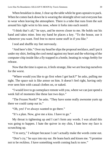When breakfast is done, I clear up the table while he goes upstairs to pack. When he comes back down he is wearing the skintight silver suit everyone has to wear when leaving the atmosphere. There is a tube that runs from the suit around his right wrist to his nose, where it forks into each nostril.

"I think that's all," he says, and he moves closer to me. He holds out his hand and takes mine. Into my hand he places a key. "To the house, use it whenever you want. Feel free to move some stuff in if you like."

I nod and shuffle my feet nervously.

"And here's this." Over my head he slips the proposal necklace, and I put it under my shirt, feeling the cool metal against my heart and the whirring of the computer chip inside like a fly trapped in a bottle, beating its wings feebly for release.

Now that the time is upon us, it feels strange, like we are bracing ourselves for the worst.

"Where would you like to go first when I get back?" he asks, pulling me tight. The space suit is like armor on him. It doesn't feel right, having only ever seen him with casual clothes on, or naked.

"I would love to go someplace remote with you, where we can just spend a week full of moments like these last two days."

"The Frozen North?" he asks. "They have some really awesome yurts up there we could camp out in."

"Oh, yes! I've always wanted to go there."

"It's a plan. Now, give me a kiss. I have to go."

My throat is tightening up and I can't form any words. I was afraid this was going to happen. I hate the quiver in my chin, I hate how my face is scrunching up.

"I'm sorry," I whisper because I can't actually make the words come out.

"Don't cry," he says into my ear. He leans back and kisses me. "I promise not to be reckless. I have something worth coming back to now."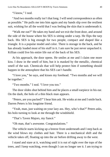"I know," I nod.

"And two months really isn't that long. I will send correspondence as often as possible." He pulls me into him again and my hands slip over the resilient suit, wishing for all the world that I was feeling the skin that is underneath it.

"Walk me out?" He takes my hand and we exit the front door, and around the side of the house where his SES is sitting under a tarp. He flips the tarp back. His SES is big enough for two people, compact and shaped like a triangle. It is a popular model and color. There is storage in the back, and he has already loaded most of his stuff in it. I am sure he just never unpacked it. Killian could live his entire life out of the back of his SES.

At his approach, the door opens. He smiles at me and I claim one more kiss. I draw in the smell of him, but it is masked by the metallic, chemical smell of the suit. Chemicals that will help protect him if something should happen in the atmosphere that his SES can't handle.

"I love you," he says, and kisses my forehead. "Two months and we will be together."

"Two months." I nod. "I love you too."

The door slides shut behind him and he places a small earpiece in his ear. On the dash, the holo of a thin black man appears.

"Peters, are you packed?" I hear him ask. He winks at me and I smile back. Darren Peters is his longtime friend.

"Yeah, man, just waiting on your lazy ass. Hey, who's that?" Peters asks, his holo turning to look at me through the windshield.

"That's Taven Majors, my fiancé."

"Oh man, that's awesome. Congratulations."

The vehicle starts kicking up a breeze from underneath and I step back as the wind blows my clothes and hair. There is a mechanical shift and the vehicle takes off, floating up into the air before drifting away to the west.

I stand and stare at it, watching until it is out of sight over the tops of the trees, and I keep watching, even though I can no longer see it. I am trying to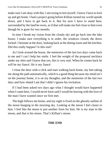make sure I am okay with this. I am trying to test myself. I know I have to lock up and get home. I had a project going before Killian turned my world upside down, and I have to get back to it. But for now I have to stand here, surrounded by the land he owns, as if that will make me feel close to him even though he is gone for two months.

In time I break my vision from the cloudy sky and go back into the lake house. I make sure everything is in order, the windows closed, the doors locked. I hesitate at the door, looking back at the dining room and the kitchen. Did this really happen? Is this real?

As I look around the house, the memories of the last two days come back to me and I can't help but smile. I feel the weight of the proposal necklace under my shirt and I know that yes, this is very real. When he comes back he will be my fiancé. He *is* my fiancé.

I close the door with a click and start walking back home, my feet taking me along the path automatically, which is a good thing because my mind isn't on the journey home, it is on my thoughts, and the memories of the last two days and how elated I am that I didn't ignore his invitation.

If I had been asked two days ago what I thought would have happened when I came here, I would never have said I would be leaving with the love of the man I have wanted since we first met.

The high follows me home, and my sight is fixed on the ghostly outline of the moon hanging in the morning sky. Looking at the moon I feel closer to him. I feel like the moon is just another form for him. He is my man in the moon, and that is his moon. That's Killian's moon.

#### **THE END**